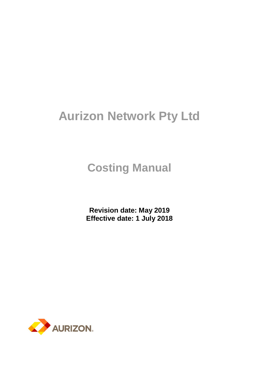# **Aurizon Network Pty Ltd**

# **Costing Manual**

**Revision date: May 2019 Effective date: 1 July 2018**

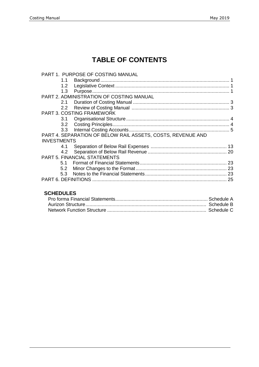# **TABLE OF CONTENTS**

|                    | PART 1. PURPOSE OF COSTING MANUAL                           |    |
|--------------------|-------------------------------------------------------------|----|
| 1.1                |                                                             |    |
| 1.2                |                                                             |    |
| 1.3                |                                                             |    |
|                    | <b>PART 2. ADMINISTRATION OF COSTING MANUAL</b>             |    |
| 2.1                |                                                             |    |
| $2.2^{\circ}$      |                                                             |    |
|                    | <b>PART 3. COSTING FRAMEWORK</b>                            |    |
| 3.1                |                                                             |    |
| 3.2                |                                                             |    |
| 3.3                |                                                             |    |
|                    | PART 4. SEPARATION OF BELOW RAIL ASSETS, COSTS, REVENUE AND |    |
| <b>INVESTMENTS</b> |                                                             |    |
| 4.1                |                                                             |    |
| 4.2                |                                                             |    |
|                    | <b>PART 5. FINANCIAL STATEMENTS</b>                         |    |
| 5.1                |                                                             |    |
| 5.2                |                                                             |    |
| 5.3                |                                                             |    |
|                    |                                                             | 25 |
|                    |                                                             |    |

### **SCHEDULES**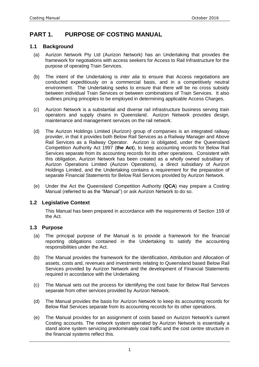## **PART 1. PURPOSE OF COSTING MANUAL**

#### **1.1 Background**

- (a) Aurizon Network Pty Ltd (Aurizon Network) has an Undertaking that provides the framework for negotiations with access seekers for Access to Rail Infrastructure for the purpose of operating Train Services.
- (b) The intent of the Undertaking is *inter alia* to ensure that Access negotiations are conducted expeditiously on a commercial basis, and in a competitively neutral environment. The Undertaking seeks to ensure that there will be no cross subsidy between individual Train Services or between combinations of Train Services. It also outlines pricing principles to be employed in determining applicable Access Charges.
- (c) Aurizon Network is a substantial and diverse rail infrastructure business serving train operators and supply chains in Queensland. Aurizon Network provides design, maintenance and management services on the rail network.
- (d) The Aurizon Holdings Limited (Aurizon) group of companies is an integrated railway provider, in that it provides both Below Rail Services as a Railway Manager and Above Rail Services as a Railway Operator. Aurizon is obligated, under the Queensland Competition Authority Act 1997 (**the Act**), to keep accounting records for Below Rail Services separate from its accounting records for its other operations. Consistent with this obligation, Aurizon Network has been created as a wholly owned subsidiary of Aurizon Operations Limited (Aurizon Operations), a direct subsidiary of Aurizon Holdings Limited, and the Undertaking contains a requirement for the preparation of separate Financial Statements for Below Rail Services provided by Aurizon Network.
- (e) Under the Act the Queensland Competition Authority (**QCA**) may prepare a Costing Manual (referred to as the "Manual") or ask Aurizon Network to do so.

#### **1.2 Legislative Context**

This Manual has been prepared in accordance with the requirements of Section 159 of the Act.

#### **1.3 Purpose**

- (a) The principal purpose of the Manual is to provide a framework for the financial reporting obligations contained in the Undertaking to satisfy the accounting responsibilities under the Act.
- (b) The Manual provides the framework for the Identification, Attribution and Allocation of assets, costs and, revenues and investments relating to Queensland based Below Rail Services provided by Aurizon Network and the development of Financial Statements required in accordance with the Undertaking.
- (c) The Manual sets out the process for identifying the cost base for Below Rail Services separate from other services provided by Aurizon Network.
- (d) The Manual provides the basis for Aurizon Network to keep its accounting records for Below Rail Services separate from its accounting records for its other operations.
- (e) The Manual provides for an assignment of costs based on Aurizon Network's current Costing accounts. The network system operated by Aurizon Network is essentially a stand alone system servicing predominately coal traffic and the cost centre structure in the financial systems reflect this.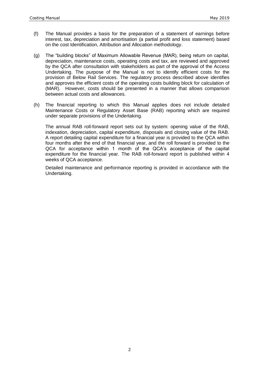- (f) The Manual provides a basis for the preparation of a statement of earnings before interest, tax, depreciation and amortisation (a partial profit and loss statement) based on the cost Identification, Attribution and Allocation methodology.
- (g) The "building blocks" of Maximum Allowable Revenue (MAR), being return on capital, depreciation, maintenance costs, operating costs and tax, are reviewed and approved by the QCA after consultation with stakeholders as part of the approval of the Access Undertaking. The purpose of the Manual is not to identify efficient costs for the provision of Below Rail Services. The regulatory process described above identifies and approves the efficient costs of the operating costs building block for calculation of (MAR). However, costs should be presented in a manner that allows comparison between actual costs and allowances.
- (h) The financial reporting to which this Manual applies does not include detailed Maintenance Costs or Regulatory Asset Base (RAB) reporting which are required under separate provisions of the Undertaking.

The annual RAB roll-forward report sets out by system: opening value of the RAB, indexation, depreciation, capital expenditure, disposals and closing value of the RAB. A report detailing capital expenditure for a financial year is provided to the QCA within four months after the end of that financial year, and the roll forward is provided to the QCA for acceptance within 1 month of the QCA's acceptance of the capital expenditure for the financial year. The RAB roll-forward report is published within 4 weeks of QCA acceptance.

Detailed maintenance and performance reporting is provided in accordance with the Undertaking.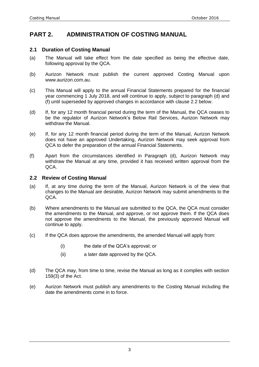## **PART 2. ADMINISTRATION OF COSTING MANUAL**

#### **2.1 Duration of Costing Manual**

- (a) The Manual will take effect from the date specified as being the effective date, following approval by the QCA.
- (b) Aurizon Network must publish the current approved Costing Manual upon www.aurizon.com.au.
- (c) This Manual will apply to the annual Financial Statements prepared for the financial year commencing 1 July 2018, and will continue to apply, subject to paragraph (d) and (f) until superseded by approved changes in accordance with clause 2.2 below.
- (d) If, for any 12 month financial period during the term of the Manual, the QCA ceases to be the regulator of Aurizon Network's Below Rail Services, Aurizon Network may withdraw the Manual.
- (e) If, for any 12 month financial period during the term of the Manual, Aurizon Network does not have an approved Undertaking, Aurizon Network may seek approval from QCA to defer the preparation of the annual Financial Statements.
- (f) Apart from the circumstances identified in Paragraph (d), Aurizon Network may withdraw the Manual at any time, provided it has received written approval from the QCA.

#### **2.2 Review of Costing Manual**

- (a) If, at any time during the term of the Manual, Aurizon Network is of the view that changes to the Manual are desirable, Aurizon Network may submit amendments to the QCA.
- (b) Where amendments to the Manual are submitted to the QCA, the QCA must consider the amendments to the Manual, and approve, or not approve them. If the QCA does not approve the amendments to the Manual, the previously approved Manual will continue to apply.
- (c) If the QCA does approve the amendments, the amended Manual will apply from:
	- (i) the date of the QCA's approval; or
	- (ii) a later date approved by the QCA.
- (d) The QCA may, from time to time, revise the Manual as long as it complies with section 159(3) of the Act.
- (e) Aurizon Network must publish any amendments to the Costing Manual including the date the amendments come in to force.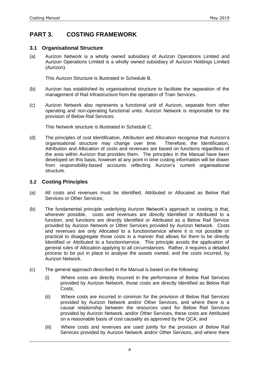## **PART 3. COSTING FRAMEWORK**

#### **3.1 Organisational Structure**

(a) Aurizon Network is a wholly owned subsidiary of Aurizon Operations Limited and Aurizon Operations Limited is a wholly owned subsidiary of Aurizon Holdings Limited (Aurizon).

This Aurizon Structure is illustrated in Schedule B.

- (b) Aurizon has established its organisational structure to facilitate the separation of the management of Rail Infrastructure from the operation of Train Services.
- (c) Aurizon Network also represents a functional unit of Aurizon, separate from other operating and non-operating functional units. Aurizon Network is responsible for the provision of Below Rail Services.

This Network structure is illustrated in Schedule C.

(d) The principles of cost Identification, Attribution and Allocation recognise that Aurizon's organisational structure may change over time. Therefore, the Identification, Attribution and Allocation of costs and revenues are based on functions regardless of the area within Aurizon that provides them. The principles in the Manual have been developed on this basis, however at any point in time costing information will be drawn from responsibility-based accounts reflecting Aurizon's current organisational structure.

#### **3.2 Costing Principles**

- (a) All costs and revenues must be Identified, Attributed or Allocated as Below Rail Services or Other Services;
- (b) The fundamental principle underlying Aurizon Network's approach to costing is that, wherever possible, costs and revenues are directly Identified or Attributed to a function, and functions are directly Identified or Attributed as a Below Rail Service provided by Aurizon Network or Other Services provided by Aurizon Network. Costs and revenues are only Allocated to a function/service where it is not possible or practical to disaggregate those costs in a manner that allows for them to be directly Identified or Attributed to a function/service. This principle avoids the application of general rules of Allocation applying to all circumstances. Rather, it requires a detailed process to be put in place to analyse the assets owned, and the costs incurred, by Aurizon Network.
- (c) The general approach described in the Manual is based on the following:
	- (i) Where costs are directly incurred in the performance of Below Rail Services provided by Aurizon Network, those costs are directly Identified as Below Rail Costs;
	- (ii) Where costs are incurred in common for the provision of Below Rail Services provided by Aurizon Network and/or Other Services, and where there is a causal relationship between the resources used for Below Rail Services provided by Aurizon Network, and/or Other Services, these costs are Attributed on a reasonable basis of cost causality as approved by the QCA; and
	- (iii) Where costs and revenues are used jointly for the provision of Below Rail Services provided by Aurizon Network and/or Other Services, and where there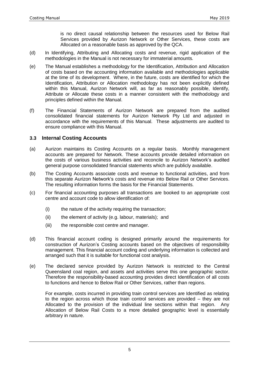is no direct causal relationship between the resources used for Below Rail Services provided by Aurizon Network or Other Services, these costs are Allocated on a reasonable basis as approved by the QCA.

- (d) In Identifying, Attributing and Allocating costs and revenue, rigid application of the methodologies in the Manual is not necessary for immaterial amounts.
- (e) The Manual establishes a methodology for the Identification, Attribution and Allocation of costs based on the accounting information available and methodologies applicable at the time of its development. Where, in the future, costs are identified for which the Identification, Attribution or Allocation methodology has not been explicitly defined within this Manual, Aurizon Network will, as far as reasonably possible, Identify, Attribute or Allocate these costs in a manner consistent with the methodology and principles defined within the Manual.
- (f) The Financial Statements of Aurizon Network are prepared from the audited consolidated financial statements for Aurizon Network Pty Ltd and adjusted in accordance with the requirements of this Manual. These adjustments are audited to ensure compliance with this Manual.

#### **3.3 Internal Costing Accounts**

- (a) Aurizon maintains its Costing Accounts on a regular basis. Monthly management accounts are prepared for Network. These accounts provide detailed information on the costs of various business activities and reconcile to Aurizon Network's audited general purpose consolidated financial statements which are publicly available.
- (b) The Costing Accounts associate costs and revenue to functional activities, and from this separate Aurizon Network's costs and revenue into Below Rail or Other Services. The resulting information forms the basis for the Financial Statements.
- (c) For financial accounting purposes all transactions are booked to an appropriate cost centre and account code to allow identification of:
	- (i) the nature of the activity requiring the transaction;
	- (ii) the element of activity (e.g. labour, materials); and
	- (iii) the responsible cost centre and manager.
- (d) This financial account coding is designed primarily around the requirements for construction of Aurizon's Costing accounts based on the objectives of responsibility management. This financial account coding and underlying information is collected and arranged such that it is suitable for functional cost analysis.
- (e) The declared service provided by Aurizon Network is restricted to the Central Queensland coal region, and assets and activities serve this one geographic sector. Therefore the responsibility-based accounting provides direct Identification of all costs to functions and hence to Below Rail or Other Services, rather than regions.

For example, costs incurred in providing train control services are Identified as relating to the region across which those train control services are provided – they are not Allocated to the provision of the individual line sections within that region. Any Allocation of Below Rail Costs to a more detailed geographic level is essentially arbitrary in nature.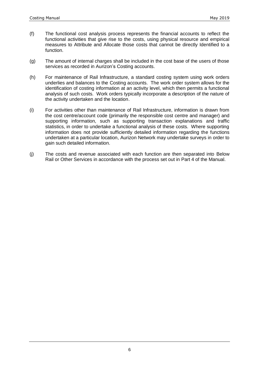- (f) The functional cost analysis process represents the financial accounts to reflect the functional activities that give rise to the costs, using physical resource and empirical measures to Attribute and Allocate those costs that cannot be directly Identified to a function.
- (g) The amount of internal charges shall be included in the cost base of the users of those services as recorded in Aurizon's Costing accounts.
- (h) For maintenance of Rail Infrastructure, a standard costing system using work orders underlies and balances to the Costing accounts. The work order system allows for the identification of costing information at an activity level, which then permits a functional analysis of such costs. Work orders typically incorporate a description of the nature of the activity undertaken and the location.
- (i) For activities other than maintenance of Rail Infrastructure, information is drawn from the cost centre/account code (primarily the responsible cost centre and manager) and supporting information, such as supporting transaction explanations and traffic statistics, in order to undertake a functional analysis of these costs. Where supporting information does not provide sufficiently detailed information regarding the functions undertaken at a particular location, Aurizon Network may undertake surveys in order to gain such detailed information.
- (j) The costs and revenue associated with each function are then separated into Below Rail or Other Services in accordance with the process set out in Part 4 of the Manual.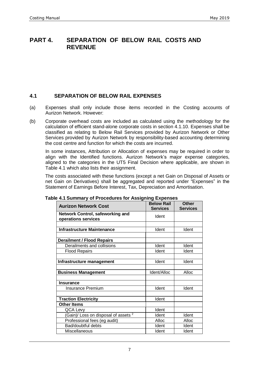### **PART 4. SEPARATION OF BELOW RAIL COSTS AND REVENUE**

#### **4.1 SEPARATION OF BELOW RAIL EXPENSES**

- (a) Expenses shall only include those items recorded in the Costing accounts of Aurizon Network. However:
- (b) Corporate overhead costs are included as calculated using the methodology for the calculation of efficient stand-alone corporate costs in section 4.1.10. Expenses shall be classified as relating to Below Rail Services provided by Aurizon Network or Other Services provided by Aurizon Network by responsibility-based accounting determining the cost centre and function for which the costs are incurred.

In some instances, Attribution or Allocation of expenses may be required in order to align with the Identified functions. Aurizon Network's major expense categories, aligned to the categories in the UT5 Final Decision where applicable, are shown in Table 4.1 which also lists their assignment.

The costs associated with these functions (except a net Gain on Disposal of Assets or net Gain on Derivatives) shall be aggregated and reported under "Expenses" in the Statement of Earnings Before Interest, Tax, Depreciation and Amortisation.

| <b>Aurizon Network Cost</b>                                    | <b>Below Rail</b><br><b>Services</b> | <b>Other</b><br><b>Services</b> |
|----------------------------------------------------------------|--------------------------------------|---------------------------------|
| <b>Network Control, safeworking and</b><br>operations services | Ident                                |                                 |
|                                                                |                                      |                                 |
| <b>Infrastructure Maintenance</b>                              | Ident                                | Ident                           |
| <b>Derailment / Flood Repairs</b>                              |                                      |                                 |
| Derailments and collisions                                     | Ident                                | Ident                           |
| <b>Flood Repairs</b>                                           | Ident                                | Ident                           |
|                                                                |                                      |                                 |
| Infrastructure management                                      | Ident                                | Ident                           |
|                                                                |                                      |                                 |
| <b>Business Management</b>                                     | Ident/Alloc                          | Alloc                           |
| <b>Insurance</b>                                               |                                      |                                 |
| <b>Insurance Premium</b>                                       | Ident                                | Ident                           |
|                                                                |                                      |                                 |
| <b>Traction Electricity</b>                                    | Ident                                |                                 |
| <b>Other Items</b>                                             |                                      |                                 |
| QCA Levy                                                       | Ident                                |                                 |
| (Gain)/ Loss on disposal of assets <sup>2</sup>                | Ident                                | Ident                           |
| Professional fees (eg audit)                                   | Alloc                                | Alloc                           |
| Bad/doubtful debts                                             | Ident                                | Ident                           |
| Miscellaneous                                                  | Ident                                | Ident                           |

#### **Table 4.1 Summary of Procedures for Assigning Expenses**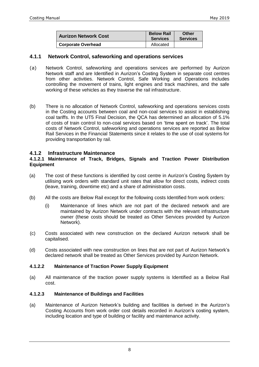| <b>Aurizon Network Cost</b> | <b>Below Rail</b><br><b>Services</b> | Other<br><b>Services</b> |
|-----------------------------|--------------------------------------|--------------------------|
| <b>Corporate Overhead</b>   | Allocated                            |                          |

#### **4.1.1 Network Control, safeworking and operations services**

- (a) Network Control, safeworking and operations services are performed by Aurizon Network staff and are Identified in Aurizon's Costing System in separate cost centres from other activities. Network Control, Safe Working and Operations includes controlling the movement of trains, light engines and track machines, and the safe working of these vehicles as they traverse the rail infrastructure.
- (b) There is no allocation of Network Control, safeworking and operations services costs in the Costing accounts between coal and non-coal services to assist in establishing coal tariffs. In the UT5 Final Decision, the QCA has determined an allocation of 5.1% of costs of train control to non-coal services based on 'time spent on track'. The total costs of Network Control, safeworking and operations services are reported as Below Rail Services in the Financial Statements since it relates to the use of coal systems for providing transportation by rail.

#### **4.1.2 Infrastructure Maintenance**

#### **4.1.2.1 Maintenance of Track, Bridges, Signals and Traction Power Distribution Equipment**

- (a) The cost of these functions is identified by cost centre in Aurizon's Costing System by utilising work orders with standard unit rates that allow for direct costs, indirect costs (leave, training, downtime etc) and a share of administration costs.
- (b) All the costs are Below Rail except for the following costs Identified from work orders:
	- (i) Maintenance of lines which are not part of the declared network and are maintained by Aurizon Network under contracts with the relevant infrastructure owner (these costs should be treated as Other Services provided by Aurizon Network).
- (c) Costs associated with new construction on the declared Aurizon network shall be capitalised.
- (d) Costs associated with new construction on lines that are not part of Aurizon Network's declared network shall be treated as Other Services provided by Aurizon Network.

#### **4.1.2.2 Maintenance of Traction Power Supply Equipment**

(a) All maintenance of the traction power supply systems is Identified as a Below Rail cost.

#### **4.1.2.3 Maintenance of Buildings and Facilities**

(a) Maintenance of Aurizon Network's building and facilities is derived in the Aurizon's Costing Accounts from work order cost details recorded in Aurizon's costing system, including location and type of building or facility and maintenance activity.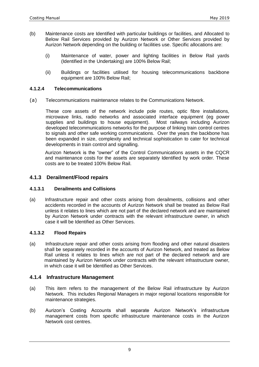- (b) Maintenance costs are Identified with particular buildings or facilities, and Allocated to Below Rail Services provided by Aurizon Network or Other Services provided by Aurizon Network depending on the building or facilities use. Specific allocations are:
	- (i) Maintenance of water, power and lighting facilities in Below Rail yards (Identified in the Undertaking) are 100% Below Rail;
	- (ii) Buildings or facilities utilised for housing telecommunications backbone equipment are 100% Below Rail;

#### **4.1.2.4 Telecommunications**

(a) Telecommunications maintenance relates to the Communications Network.

These core assets of the network include pole routes, optic fibre installations, microwave links, radio networks and associated interface equipment (eg power supplies and buildings to house equipment). Most railways including Aurizon developed telecommunications networks for the purpose of linking train control centres to signals and other safe working communications. Over the years the backbone has been expanded in size, complexity and technical sophistication to cater for technical developments in train control and signalling.

Aurizon Network is the "owner" of the Control Communications assets in the CQCR and maintenance costs for the assets are separately Identified by work order. These costs are to be treated 100% Below Rail.

#### **4.1.3 Derailment/Flood repairs**

#### **4.1.3.1 Derailments and Collisions**

(a) Infrastructure repair and other costs arising from derailments, collisions and other accidents recorded in the accounts of Aurizon Network shall be treated as Below Rail unless it relates to lines which are not part of the declared network and are maintained by Aurizon Network under contracts with the relevant infrastructure owner, in which case it will be Identified as Other Services.

#### **4.1.3.2 Flood Repairs**

(a) Infrastructure repair and other costs arising from flooding and other natural disasters shall be separately recorded in the accounts of Aurizon Network, and treated as Below Rail unless it relates to lines which are not part of the declared network and are maintained by Aurizon Network under contracts with the relevant infrastructure owner, in which case it will be Identified as Other Services.

#### **4.1.4 Infrastructure Management**

- (a) This item refers to the management of the Below Rail infrastructure by Aurizon Network. This includes Regional Managers in major regional locations responsible for maintenance strategies.
- (b) Aurizon's Costing Accounts shall separate Aurizon Network's infrastructure management costs from specific infrastructure maintenance costs in the Aurizon Network cost centres.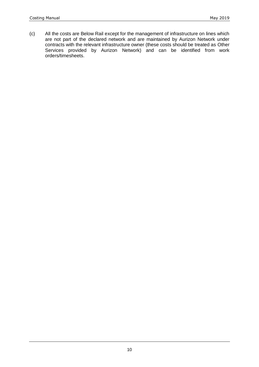(c) All the costs are Below Rail except for the management of infrastructure on lines which are not part of the declared network and are maintained by Aurizon Network under contracts with the relevant infrastructure owner (these costs should be treated as Other Services provided by Aurizon Network) and can be identified from work orders/timesheets.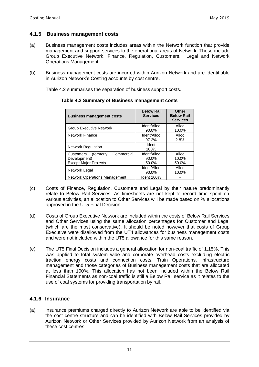#### **4.1.5 Business management costs**

- (a) Business management costs includes areas within the Network function that provide management and support services to the operational areas of Network. These include Group Executive Network, Finance, Regulation, Customers, Legal and Network Operations Management.
- (b) Business management costs are incurred within Aurizon Network and are Identifiable in Aurizon Network's Costing accounts by cost centre.

Table 4.2 summarises the separation of business support costs.

| <b>Business management costs</b>                                                     | <b>Below Rail</b><br><b>Services</b> | Other<br><b>Below Rail</b><br><b>Services</b> |
|--------------------------------------------------------------------------------------|--------------------------------------|-----------------------------------------------|
| <b>Group Executive Network</b>                                                       | Ident/Alloc<br>90.0%                 | Alloc<br>10.0%                                |
| <b>Network Finance</b>                                                               | Ident/Alloc<br>97.2%                 | Alloc<br>2.8%                                 |
| <b>Network Regulation</b>                                                            | Ident<br>100%                        |                                               |
| Commercial<br>(formerly<br>Customers<br>Development)<br><b>Except Major Projects</b> | Ident/Alloc<br>$90.0\%$<br>50.0%     | Alloc<br>10.0%<br>50.0%                       |
| Network Legal                                                                        | Ident/Alloc<br>90.0%                 | Alloc<br>10.0%                                |
| <b>Network Operations Management</b>                                                 | Ident 100%                           |                                               |

**Table 4.2 Summary of Business management costs**

- (c) Costs of Finance, Regulation, Customers and Legal by their nature predominantly relate to Below Rail Services. As timesheets are not kept to record time spent on various activities, an allocation to Other Services will be made based on % allocations approved in the UT5 Final Decision.
- (d) Costs of Group Executive Network are included within the costs of Below Rail Services and Other Services using the same allocation percentages for Customer and Legal (which are the most conservative). It should be noted however that costs of Group Executive were disallowed from the UT4 allowances for business management costs and were not included within the UT5 allowance for this same reason.
- (e) The UT5 Final Decision includes a general allocation for non-coal traffic of 1.15%. This was applied to total system wide and corporate overhead costs excluding electric traction energy costs and connection costs, Train Operations, Infrastructure management and those categories of Business management costs that are allocated at less than 100%. This allocation has not been included within the Below Rail Financial Statements as non-coal traffic is still a Below Rail service as it relates to the use of coal systems for providing transportation by rail.

#### **4.1.6 Insurance**

(a) Insurance premiums charged directly to Aurizon Network are able to be identified via the cost centre structure and can be identified with Below Rail Services provided by Aurizon Network or Other Services provided by Aurizon Network from an analysis of these cost centres.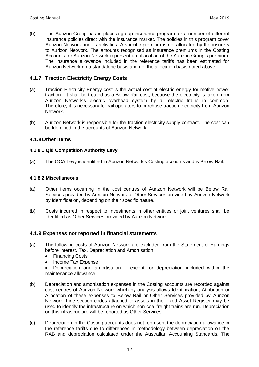(b) The Aurizon Group has in place a group insurance program for a number of different insurance policies direct with the insurance market. The policies in this program cover Aurizon Network and its activities. A specific premium is not allocated by the insurers to Aurizon Network. The amounts recognised as insurance premiums in the Costing Accounts for Aurizon Network represent an allocation of the Aurizon Group's premium. The insurance allowance included in the reference tariffs has been estimated for Aurizon Network on a standalone basis and not the allocation basis noted above.

#### **4.1.7 Traction Electricity Energy Costs**

- (a) Traction Electricity Energy cost is the actual cost of electric energy for motive power traction. It shall be treated as a Below Rail cost, because the electricity is taken from Aurizon Network's electric overhead system by all electric trains in common. Therefore, it is necessary for rail operators to purchase traction electricity from Aurizon Network.
- (b) Aurizon Network is responsible for the traction electricity supply contract. The cost can be Identified in the accounts of Aurizon Network.

#### **4.1.8Other Items**

#### **4.1.8.1 Qld Competition Authority Levy**

(a) The QCA Levy is identified in Aurizon Network's Costing accounts and is Below Rail.

#### **4.1.8.2 Miscellaneous**

- (a) Other items occurring in the cost centres of Aurizon Network will be Below Rail Services provided by Aurizon Network or Other Services provided by Aurizon Network by Identification, depending on their specific nature.
- (b) Costs incurred in respect to investments in other entities or joint ventures shall be Identified as Other Services provided by Aurizon Network.

#### **4.1.9 Expenses not reported in financial statements**

- (a) The following costs of Aurizon Network are excluded from the Statement of Earnings before Interest, Tax, Depreciation and Amortisation:
	- Financing Costs
	- Income Tax Expense
	- Depreciation and amortisation except for depreciation included within the maintenance allowance.
- (b) Depreciation and amortisation expenses in the Costing accounts are recorded against cost centres of Aurizon Network which by analysis allows Identification, Attribution or Allocation of these expenses to Below Rail or Other Services provided by Aurizon Network. Line section codes attached to assets in the Fixed Asset Register may be used to identify the infrastructure on which non-coal freight trains are run. Depreciation on this infrastructure will be reported as Other Services.
- (c) Depreciation in the Costing accounts does not represent the depreciation allowance in the reference tariffs due to differences in methodology between depreciation on the RAB and depreciation calculated under the Australian Accounting Standards. The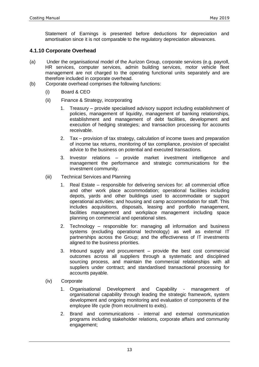Statement of Earnings is presented before deductions for depreciation and amortisation since it is not comparable to the regulatory depreciation allowances.

#### **4.1.10 Corporate Overhead**

- (a) Under the organisational model of the Aurizon Group, corporate services (e.g. payroll, HR services, computer services, admin building services, motor vehicle fleet management are not charged to the operating functional units separately and are therefore included in corporate overhead.
- (b) Corporate overhead comprises the following functions:
	- (i) Board & CEO
	- (ii) Finance & Strategy, incorporating
		- 1. Treasury provide specialised advisory support including establishment of policies, management of liquidity, management of banking relationships, establishment and management of debt facilities, development and execution of hedging strategies; and transaction processing for accounts receivable.
		- 2. Tax provision of tax strategy, calculation of income taxes and preparation of income tax returns, monitoring of tax compliance, provision of specialist advice to the business on potential and executed transactions.
		- 3. Investor relations provide market investment intelligence and management the performance and strategic communications for the investment community.
	- (iii) Technical Services and Planning
		- 1. Real Estate responsible for delivering services for: all commercial office and other work place accommodation; operational facilities including depots, yards and other buildings used to accommodate or support operational activities; and housing and camp accommodation for staff. This includes acquisitions, disposals, leasing and portfolio management, facilities management and workplace management including space planning on commercial and operational sites.
		- 2. Technology responsible for: managing all information and business systems (excluding operational technology) as well as external IT partnerships across the Group; and the effectiveness of IT investments aligned to the business priorities.
		- 3. Inbound supply and procurement provide the best cost commercial outcomes across all suppliers through a systematic and disciplined sourcing process, and maintain the commercial relationships with all suppliers under contract; and standardised transactional processing for accounts payable.
	- (iv) Corporate
		- 1. Organisational Development and Capability management of organisational capability through leading the strategic framework, system development and ongoing monitoring and evaluation of components of the employee life cycle (from recruitment to exits).
		- 2. Brand and communications internal and external communication programs including stakeholder relations, corporate affairs and community engagement;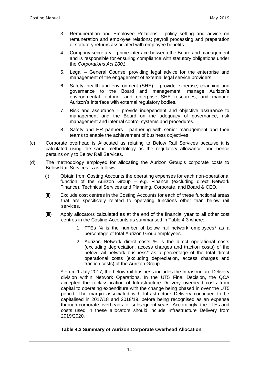- 3. Remuneration and Employee Relations policy setting and advice on remuneration and employee relations; payroll processing and preparation of statutory returns associated with employee benefits.
- 4. Company secretary prime interface between the Board and management and is responsible for ensuring compliance with statutory obligations under the *Corporations Act 2001*.
- 5. Legal General Counsel providing legal advice for the enterprise and management of the engagement of external legal service providers.
- 6. Safety, health and environment (SHE) provide expertise, coaching and governance to the Board and management; manage Aurizon's environmental footprint and enterprise SHE resources; and manage Aurizon's interface with external regulatory bodies.
- 7. Risk and assurance provide independent and objective assurance to management and the Board on the adequacy of governance, risk management and internal control systems and procedures.
- 8. Safety and HR partners partnering with senior management and their teams to enable the achievement of business objectives.
- (c) Corporate overhead is Allocated as relating to Below Rail Services because it is calculated using the same methodology as the regulatory allowance, and hence pertains only to Below Rail Services.
- (d) The methodology employed for allocating the Aurizon Group's corporate costs to Below Rail Services is as follows:
	- (i) Obtain from Costing Accounts the operating expenses for each non-operational function of the Aurizon Group – e.g. Finance (excluding direct Network Finance), Technical Services and Planning, Corporate, and Board & CEO.
	- (ii) Exclude cost centres in the Costing Accounts for each of these functional areas that are specifically related to operating functions other than below rail services.
	- (iii) Apply allocators calculated as at the end of the financial year to all other cost centres in the Costing Accounts as summarised in Table 4.3 where:
		- 1. FTEs % is the number of below rail network employees\* as a percentage of total Aurizon Group employees.
		- 2. Aurizon Network direct costs % is the direct operational costs (excluding depreciation, access charges and traction costs) of the below rail network business\* as a percentage of the total direct operational costs (excluding depreciation, access charges and traction costs) of the Aurizon Group.

\* From 1 July 2017, the below rail business includes the Infrastructure Delivery division within Network Operations. In the UT5 Final Decision, the QCA accepted the reclassification of Infrastructure Delivery overhead costs from capital to operating expenditure with the change being phased in over the UT5 period. The margin associated with Infrastructure Delivery continued to be capitalised in 2017/18 and 2018/19, before being recognised as an expense through corporate overheads for subsequent years. Accordingly, the FTEs and costs used in these allocators should include Infrastructure Delivery from 2019/2020.

#### **Table 4.3 Summary of Aurizon Corporate Overhead Allocation**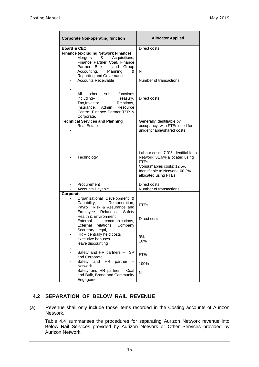| <b>Corporate Non-operating function</b>                                                                                                                                                                   | <b>Allocator Applied</b>                                                                                                                                                  |  |
|-----------------------------------------------------------------------------------------------------------------------------------------------------------------------------------------------------------|---------------------------------------------------------------------------------------------------------------------------------------------------------------------------|--|
| <b>Board &amp; CEO</b>                                                                                                                                                                                    | Direct costs                                                                                                                                                              |  |
| <b>Finance (excluding Network Finance)</b><br>Acquisitions,<br>Mergers<br>&<br>Finance Partner Coal, Finance<br>Partner Bulk,<br>and<br>Group<br>Accounting,<br>Planning<br>&<br>Reporting and Governance | Nil                                                                                                                                                                       |  |
| <b>Accounts Receivable</b>                                                                                                                                                                                | Number of transactions                                                                                                                                                    |  |
| -<br>All<br>other<br>sub-<br>functions<br>including-<br>Treasury,<br>Tax, Investor<br>Relations,<br>Resource<br>Insurance,<br>Admin<br>Centre. Finance Partner TSP &<br>Corporate.                        | Direct costs                                                                                                                                                              |  |
| <b>Technical Services and Planning</b>                                                                                                                                                                    | Generally identifiable by                                                                                                                                                 |  |
| <b>Real Estate</b>                                                                                                                                                                                        | occupancy, with FTEs used for<br>unidentifiable/shared costs                                                                                                              |  |
| Technology                                                                                                                                                                                                | Labour costs: 7.3% Identifiable to<br>Network; 81.6% allocated using<br><b>FTEs</b><br>Consumables costs: 12.5%<br>Identifiable to Network; 60.2%<br>allocated using FTEs |  |
| Procurement<br><b>Accounts Payable</b>                                                                                                                                                                    | Direct costs<br>Number of transactions                                                                                                                                    |  |
| Corporate                                                                                                                                                                                                 |                                                                                                                                                                           |  |
| Organisational Development &                                                                                                                                                                              |                                                                                                                                                                           |  |
| Capability,<br>Remuneration.<br>Payroll, Risk & Assurance and<br>Employee<br>Relations,<br>Safety<br>Health & Environment                                                                                 | <b>FTEs</b><br>Direct costs                                                                                                                                               |  |
| External<br>communications.<br>External relations, Company<br>Secretary, Legal,                                                                                                                           |                                                                                                                                                                           |  |
| $HR$ – centrally held costs<br>executive bonuses<br>leave discounting                                                                                                                                     | 9%<br>10%                                                                                                                                                                 |  |
| Safety and HR partners - TSP<br>and Corporate                                                                                                                                                             | <b>FTEs</b>                                                                                                                                                               |  |
| Safety and<br>partner<br>HR.<br><b>Network</b>                                                                                                                                                            | 100%                                                                                                                                                                      |  |
| Safety and HR partner - Coal<br>and Bulk, Brand and Community<br>Engagement                                                                                                                               | Nil                                                                                                                                                                       |  |

## **4.2 SEPARATION OF BELOW RAIL REVENUE**

(a) Revenue shall only include those items recorded in the Costing accounts of Aurizon Network.

Table 4.4 summarises the procedures for separating Aurizon Network revenue into Below Rail Services provided by Aurizon Network or Other Services provided by Aurizon Network.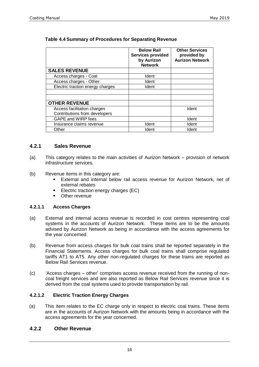|                                  | <b>Below Rail</b><br><b>Services provided</b><br>by Aurizon<br><b>Network</b> | <b>Other Services</b><br>provided by<br><b>Aurizon Network</b> |
|----------------------------------|-------------------------------------------------------------------------------|----------------------------------------------------------------|
| <b>SALES REVENUE</b>             |                                                                               |                                                                |
| Access charges - Coal            | Ident                                                                         |                                                                |
| Access charges - Other           | Ident                                                                         |                                                                |
| Electric traction energy charges | Ident                                                                         |                                                                |
|                                  |                                                                               |                                                                |
| <b>OTHER REVENUE</b>             |                                                                               |                                                                |
| Access facilitation charges      |                                                                               | Ident                                                          |
| Contributions from developers    |                                                                               |                                                                |
| GAPE and WIRP fees               |                                                                               | Ident                                                          |
| Insurance claims revenue         | Ident                                                                         | Ident                                                          |
| Other                            | Ident                                                                         | Ident                                                          |

#### **Table 4.4 Summary of Procedures for Separating Revenue**

#### **4.2.1 Sales Revenue**

- (a) This category relates to the main activities of Aurizon Network provision of network infrastructure services.
- (b) Revenue items in this category are:
	- **External and internal below rail access revenue for Aurizon Network, net of** external rebates
	- **Electric traction energy charges (EC)**
	- **•** Other revenue

#### **4.2.1.1 Access Charges**

- (a) External and internal access revenue is recorded in cost centres representing coal systems in the accounts of Aurizon Network. These items are to be the amounts advised by Aurizon Network as being in accordance with the access agreements for the year concerned.
- (b) Revenue from access charges for bulk coal trains shall be reported separately in the Financial Statements. Access charges for bulk coal trains shall comprise regulated tariffs AT1 to AT5. Any other non-regulated charges for these trains are reported as Below Rail Services revenue.
- (c) 'Access charges other' comprises access revenue received from the running of noncoal freight services and are also reported as Below Rail Services revenue since it is derived from the coal systems used to provide transportation by rail.

#### **4.2.1.2 Electric Traction Energy Charges**

(a) This item relates to the EC charge only in respect to electric coal trains. These items are in the accounts of Aurizon Network with the amounts being in accordance with the access agreements for the year concerned.

#### **4.2.2 Other Revenue**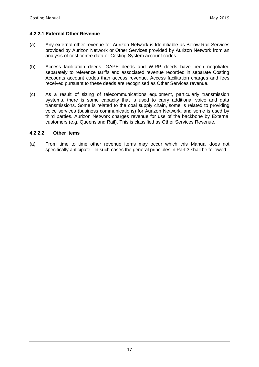#### **4.2.2.1 External Other Revenue**

- (a) Any external other revenue for Aurizon Network is Identifiable as Below Rail Services provided by Aurizon Network or Other Services provided by Aurizon Network from an analysis of cost centre data or Costing System account codes.
- (b) Access facilitation deeds, GAPE deeds and WIRP deeds have been negotiated separately to reference tariffs and associated revenue recorded in separate Costing Accounts account codes than access revenue. Access facilitation charges and fees received pursuant to these deeds are recognised as Other Services revenue.
- (c) As a result of sizing of telecommunications equipment, particularly transmission systems, there is some capacity that is used to carry additional voice and data transmissions. Some is related to the coal supply chain, some is related to providing voice services (business communications) for Aurizon Network, and some is used by third parties. Aurizon Network charges revenue for use of the backbone by External customers (e.g. Queensland Rail). This is classified as Other Services Revenue.

#### **4.2.2.2 Other Items**

(a) From time to time other revenue items may occur which this Manual does not specifically anticipate. In such cases the general principles in Part 3 shall be followed.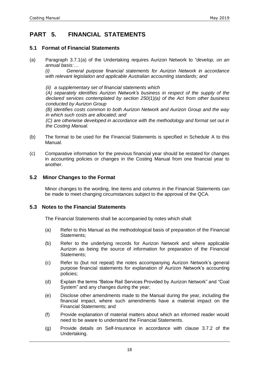## **PART 5. FINANCIAL STATEMENTS**

#### **5.1 Format of Financial Statements**

(a) Paragraph 3.7.1(a) of the Undertaking requires Aurizon Network to "*develop, on an annual basis:…*

*(i) General purpose financial statements for Aurizon Network in accordance with relevant legislation and applicable Australian accounting standards; and*

*(ii) a supplementary set of financial statements which* 

*(A) separately identifies Aurizon Network's business in respect of the supply of the declared services contemplated by section 250(1)(a) of the Act from other business conducted by Aurizon Group*

*(B) identifies costs common to both Aurizon Network and Aurizon Group and the way in which such costs are allocated; and* 

*(C) are otherwise developed in accordance with the methodology and format set out in the Costing Manual.*

- (b) The format to be used for the Financial Statements is specified in Schedule A to this Manual.
- (c) Comparative information for the previous financial year should be restated for changes in accounting policies or changes in the Costing Manual from one financial year to another.

#### **5.2 Minor Changes to the Format**

Minor changes to the wording, line items and columns in the Financial Statements can be made to meet changing circumstances subject to the approval of the QCA.

#### **5.3 Notes to the Financial Statements**

The Financial Statements shall be accompanied by notes which shall:

- (a) Refer to this Manual as the methodological basis of preparation of the Financial Statements:
- (b) Refer to the underlying records for Aurizon Network and where applicable Aurizon as being the source of information for preparation of the Financial Statements;
- (c) Refer to (but not repeat) the notes accompanying Aurizon Network's general purpose financial statements for explanation of Aurizon Network's accounting policies;
- (d) Explain the terms "Below Rail Services Provided by Aurizon Network" and "Coal System" and any changes during the year;
- (e) Disclose other amendments made to the Manual during the year, including the financial impact, where such amendments have a material impact on the Financial Statements; and
- (f) Provide explanation of material matters about which an informed reader would need to be aware to understand the Financial Statements.
- (g) Provide details on Self-Insurance in accordance with clause 3.7.2 of the Undertaking.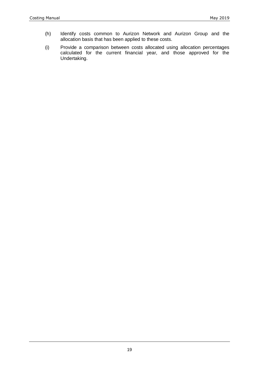- (h) Identify costs common to Aurizon Network and Aurizon Group and the allocation basis that has been applied to these costs.
- (i) Provide a comparison between costs allocated using allocation percentages calculated for the current financial year, and those approved for the Undertaking.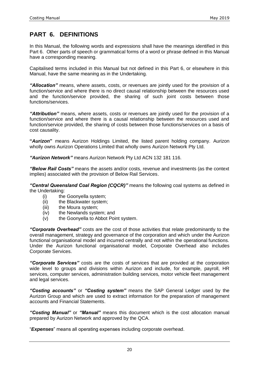## **PART 6. DEFINITIONS**

In this Manual, the following words and expressions shall have the meanings identified in this Part 6. Other parts of speech or grammatical forms of a word or phrase defined in this Manual have a corresponding meaning.

Capitalised terms included in this Manual but not defined in this Part 6, or elsewhere in this Manual, have the same meaning as in the Undertaking.

*"Allocation"* means, where assets, costs, or revenues are jointly used for the provision of a function/service and where there is no direct causal relationship between the resources used and the function/service provided, the sharing of such joint costs between those functions/services.

*"Attribution"* means, where assets, costs or revenues are jointly used for the provision of a function/service and where there is a causal relationship between the resources used and function/service provided, the sharing of costs between those functions/services on a basis of cost causality.

**"***Aurizon***"** means Aurizon Holdings Limited, the listed parent holding company. Aurizon wholly owns Aurizon Operations Limited that wholly owns Aurizon Network Pty Ltd.

*"Aurizon Network"* means Aurizon Network Pty Ltd ACN 132 181 116.

*"Below Rail Costs"* means the assets and/or costs, revenue and investments (as the context implies) associated with the provision of Below Rail Services.

*"Central Queensland Coal Region (CQCR)"* means the following coal systems as defined in the Undertaking:

- (i) the Goonyella system;
- (ii) the Blackwater system;
- (iii) the Moura system;
- (iv) the Newlands system; and
- (v) the Goonyella to Abbot Point system.

*"Corporate Overhead"* costs are the cost of those activities that relate predominantly to the overall management, strategy and governance of the corporation and which under the Aurizon functional organisational model and incurred centrally and not within the operational functions. Under the Aurizon functional organisational model, Corporate Overhead also includes Corporate Services.

*"Corporate Services"* costs are the costs of services that are provided at the corporation wide level to groups and divisions within Aurizon and include, for example, payroll, HR services, computer services, administration building services, motor vehicle fleet management and legal services.

*"Costing accounts"* or *"Costing system"* means the SAP General Ledger used by the Aurizon Group and which are used to extract information for the preparation of management accounts and Financial Statements.

*"Costing Manual"* or *"Manual"* means this document which is the cost allocation manual prepared by Aurizon Network and approved by the QCA.

"*Expenses*" means all operating expenses including corporate overhead.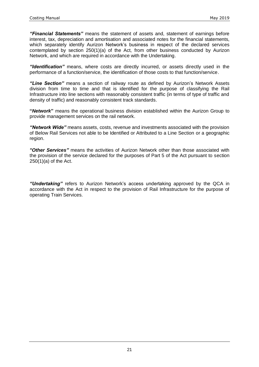*"Financial Statements"* means the statement of assets and, statement of earnings before interest, tax, depreciation and amortisation and associated notes for the financial statements, which separately identify Aurizon Network's business in respect of the declared services contemplated by section 250(1)(a) of the Act, from other business conducted by Aurizon Network, and which are required in accordance with the Undertaking.

*"Identification"* means, where costs are directly incurred, or assets directly used in the performance of a function/service, the identification of those costs to that function/service.

*"Line Section"* means a section of railway route as defined by Aurizon's Network Assets division from time to time and that is identified for the purpose of classifying the Rail Infrastructure into line sections with reasonably consistent traffic (in terms of type of traffic and density of traffic) and reasonably consistent track standards.

**"***Network***"** means the operational business division established within the Aurizon Group to provide management services on the rail network.

*"Network Wide"* means assets, costs, revenue and investments associated with the provision of Below Rail Services not able to be Identified or Attributed to a Line Section or a geographic region.

*"Other Services"* means the activities of Aurizon Network other than those associated with the provision of the service declared for the purposes of Part 5 of the Act pursuant to section  $250(1)(a)$  of the Act.

*"Undertaking"* refers to Aurizon Network's access undertaking approved by the QCA in accordance with the Act in respect to the provision of Rail Infrastructure for the purpose of operating Train Services.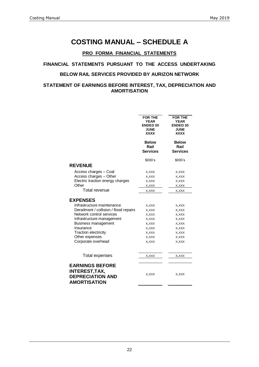## **COSTING MANUAL – SCHEDULE A**

#### **PRO FORMA FINANCIAL STATEMENTS**

#### **FINANCIAL STATEMENTS PURSUANT TO THE ACCESS UNDERTAKING**

#### **BELOW RAIL SERVICES PROVIDED BY AURIZON NETWORK**

#### **STATEMENT OF EARNINGS BEFORE INTEREST, TAX, DEPRECIATION AND AMORTISATION**

|                                                                                                   | <b>FOR THE</b><br><b>YEAR</b><br><b>ENDED 30</b><br><b>JUNE</b><br><b>XXXX</b> | <b>FOR THE</b><br><b>YEAR</b><br><b>ENDED 30</b><br><b>JUNE</b><br><b>XXXX</b> |
|---------------------------------------------------------------------------------------------------|--------------------------------------------------------------------------------|--------------------------------------------------------------------------------|
|                                                                                                   | <b>Below</b><br>Rail<br><b>Services</b>                                        | <b>Below</b><br>Rail<br><b>Services</b>                                        |
|                                                                                                   | \$000's                                                                        | \$000's                                                                        |
| <b>REVENUE</b>                                                                                    |                                                                                |                                                                                |
| Access charges - Coal                                                                             | X, XXX                                                                         | X, XXX                                                                         |
| Access charges - Other                                                                            | X, XXX                                                                         | X, XXX                                                                         |
| Electric traction energy charges                                                                  | X, XXX                                                                         | X, XXX                                                                         |
| Other                                                                                             | X,XXX                                                                          | X, XXX                                                                         |
| Total revenue                                                                                     | X, XXX                                                                         | $x,$ xxx                                                                       |
| <b>EXPENSES</b>                                                                                   |                                                                                |                                                                                |
| Infrastructure maintenance                                                                        | X, XXX                                                                         | X, XXX                                                                         |
| Derailment / collision / flood repairs                                                            | X, XXX                                                                         | X, XXX                                                                         |
| Network control services                                                                          | X, XXX                                                                         | X, XXX                                                                         |
| Infrastructure management                                                                         | X, XXX                                                                         | X, XXX                                                                         |
| Business management                                                                               | X, XXX                                                                         | X, XXX                                                                         |
| Insurance                                                                                         | X, XXX                                                                         | X, XXX                                                                         |
| <b>Traction electricity</b>                                                                       | X, XXX                                                                         | X, XXX                                                                         |
| Other expenses                                                                                    | X, XXX                                                                         | X, XXX                                                                         |
| Corporate overhead                                                                                | X, XXX                                                                         | X, XXX                                                                         |
| <b>Total expenses</b>                                                                             | X, XXX                                                                         | X, XXX                                                                         |
| <b>EARNINGS BEFORE</b><br><b>INTEREST, TAX,</b><br><b>DEPRECIATION AND</b><br><b>AMORTISATION</b> | X, XXX                                                                         | X, XXX                                                                         |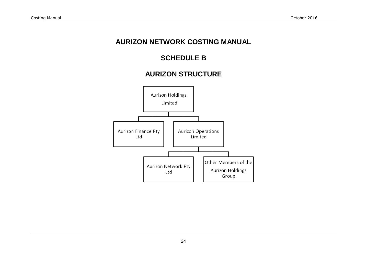## **AURIZON NETWORK COSTING MANUAL**

# **SCHEDULE B**

# **AURIZON STRUCTURE**

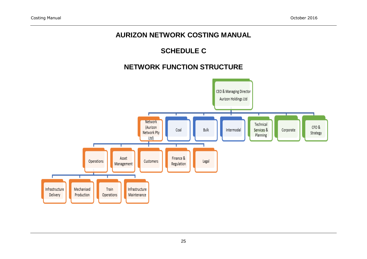# **AURIZON NETWORK COSTING MANUAL**

# **SCHEDULE C**

# **NETWORK FUNCTION STRUCTURE**